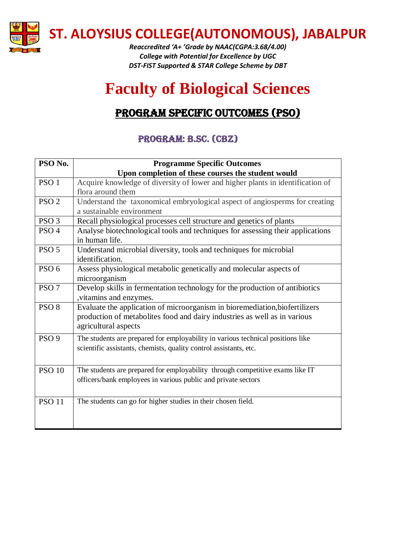

**ST. ALOYSIUS COLLEGE(AUTONOMOUS), JABALPUR**

*Reaccredited 'A+ 'Grade by NAAC(CGPA:3.68/4.00) College with Potential for Excellence by UGC DST-FIST Supported & STAR College Scheme by DBT*

## **Faculty of Biological Sciences**

## PROGRAM SPECIFIC OUTCOMES (PSO)

## Program: B.Sc. (CBZ)

| PSO No.          | <b>Programme Specific Outcomes</b>                                              |
|------------------|---------------------------------------------------------------------------------|
|                  | Upon completion of these courses the student would                              |
| PSO <sub>1</sub> | Acquire knowledge of diversity of lower and higher plants in identification of  |
|                  | flora around them                                                               |
| PSO <sub>2</sub> | Understand the taxonomical embryological aspect of angiosperms for creating     |
|                  | a sustainable environment                                                       |
| PSO <sub>3</sub> | Recall physiological processes cell structure and genetics of plants            |
| PSO <sub>4</sub> | Analyse biotechnological tools and techniques for assessing their applications  |
|                  | in human life.                                                                  |
| PSO <sub>5</sub> | Understand microbial diversity, tools and techniques for microbial              |
|                  | identification.                                                                 |
| PSO <sub>6</sub> | Assess physiological metabolic genetically and molecular aspects of             |
|                  | microorganism                                                                   |
| PSO <sub>7</sub> | Develop skills in fermentation technology for the production of antibiotics     |
|                  | , vitamins and enzymes.                                                         |
| PSO <sub>8</sub> | Evaluate the application of microorganism in bioremediation, biofertilizers     |
|                  | production of metabolites food and dairy industries as well as in various       |
|                  | agricultural aspects                                                            |
| PSO <sub>9</sub> | The students are prepared for employability in various technical positions like |
|                  | scientific assistants, chemists, quality control assistants, etc.               |
|                  |                                                                                 |
| <b>PSO 10</b>    | The students are prepared for employability through competitive exams like IT   |
|                  | officers/bank employees in various public and private sectors                   |
|                  |                                                                                 |
|                  |                                                                                 |
| <b>PSO 11</b>    | The students can go for higher studies in their chosen field.                   |
|                  |                                                                                 |
|                  |                                                                                 |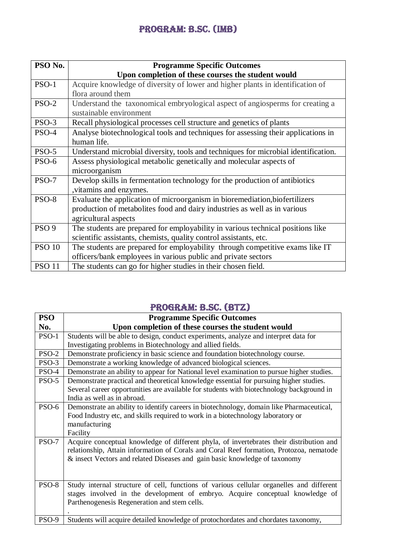| PSO No.          | <b>Programme Specific Outcomes</b>                                                 |
|------------------|------------------------------------------------------------------------------------|
|                  | Upon completion of these courses the student would                                 |
| $PSO-1$          | Acquire knowledge of diversity of lower and higher plants in identification of     |
|                  | flora around them                                                                  |
| $PSO-2$          | Understand the taxonomical embryological aspect of angiosperms for creating a      |
|                  | sustainable environment                                                            |
| $PSO-3$          | Recall physiological processes cell structure and genetics of plants               |
| PSO-4            | Analyse biotechnological tools and techniques for assessing their applications in  |
|                  | human life.                                                                        |
| $PSO-5$          | Understand microbial diversity, tools and techniques for microbial identification. |
| PSO-6            | Assess physiological metabolic genetically and molecular aspects of                |
|                  | microorganism                                                                      |
| PSO-7            | Develop skills in fermentation technology for the production of antibiotics        |
|                  | , vitamins and enzymes.                                                            |
| PSO-8            | Evaluate the application of microorganism in bioremediation, biofertilizers        |
|                  | production of metabolites food and dairy industries as well as in various          |
|                  | agricultural aspects                                                               |
| PSO <sub>9</sub> | The students are prepared for employability in various technical positions like    |
|                  | scientific assistants, chemists, quality control assistants, etc.                  |
| <b>PSO 10</b>    | The students are prepared for employability through competitive exams like IT      |
|                  | officers/bank employees in various public and private sectors                      |
| <b>PSO 11</b>    | The students can go for higher studies in their chosen field.                      |

## Program: B.Sc. (BTZ)

| <b>PSO</b>   | <b>Programme Specific Outcomes</b>                                                        |
|--------------|-------------------------------------------------------------------------------------------|
| No.          | Upon completion of these courses the student would                                        |
| PSO-1        | Students will be able to design, conduct experiments, analyze and interpret data for      |
|              | Investigating problems in Biotechnology and allied fields.                                |
| <b>PSO-2</b> | Demonstrate proficiency in basic science and foundation biotechnology course.             |
| PSO-3        | Demonstrate a working knowledge of advanced biological sciences.                          |
| PSO-4        | Demonstrate an ability to appear for National level examination to pursue higher studies. |
| $PSO-5$      | Demonstrate practical and theoretical knowledge essential for pursuing higher studies.    |
|              | Several career opportunities are available for students with biotechnology background in  |
|              | India as well as in abroad.                                                               |
| PSO-6        | Demonstrate an ability to identify careers in biotechnology, domain like Pharmaceutical,  |
|              | Food Industry etc, and skills required to work in a biotechnology laboratory or           |
|              | manufacturing                                                                             |
|              | Facility                                                                                  |
| $PSO-7$      | Acquire conceptual knowledge of different phyla, of invertebrates their distribution and  |
|              | relationship, Attain information of Corals and Coral Reef formation, Protozoa, nematode   |
|              | & insect Vectors and related Diseases and gain basic knowledge of taxonomy                |
|              |                                                                                           |
|              |                                                                                           |
| PSO-8        | Study internal structure of cell, functions of various cellular organelles and different  |
|              | stages involved in the development of embryo. Acquire conceptual knowledge of             |
|              | Parthenogenesis Regeneration and stem cells.                                              |
|              |                                                                                           |
| PSO-9        | Students will acquire detailed knowledge of protochordates and chordates taxonomy,        |